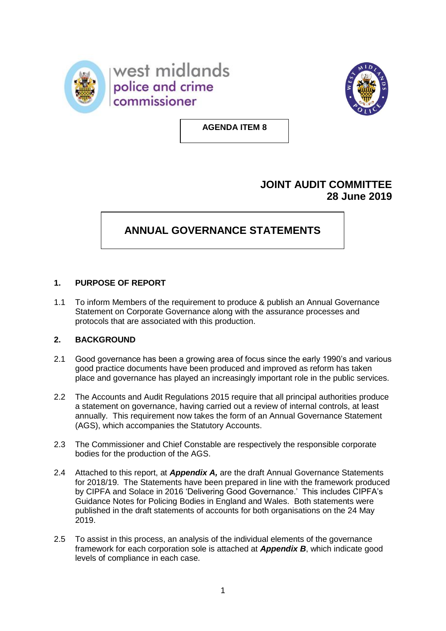



**AGENDA ITEM 8**

## **JOINT AUDIT COMMITTEE 28 June 2019**

# **ANNUAL GOVERNANCE STATEMENTS**

### **1. PURPOSE OF REPORT**

1.1 To inform Members of the requirement to produce & publish an Annual Governance Statement on Corporate Governance along with the assurance processes and protocols that are associated with this production.

#### **2. BACKGROUND**

- 2.1 Good governance has been a growing area of focus since the early 1990's and various good practice documents have been produced and improved as reform has taken place and governance has played an increasingly important role in the public services.
- 2.2 The Accounts and Audit Regulations 2015 require that all principal authorities produce a statement on governance, having carried out a review of internal controls, at least annually. This requirement now takes the form of an Annual Governance Statement (AGS), which accompanies the Statutory Accounts.
- 2.3 The Commissioner and Chief Constable are respectively the responsible corporate bodies for the production of the AGS.
- 2.4 Attached to this report, at *Appendix A,* are the draft Annual Governance Statements for 2018/19. The Statements have been prepared in line with the framework produced by CIPFA and Solace in 2016 'Delivering Good Governance.' This includes CIPFA's Guidance Notes for Policing Bodies in England and Wales. Both statements were published in the draft statements of accounts for both organisations on the 24 May 2019.
- 2.5 To assist in this process, an analysis of the individual elements of the governance framework for each corporation sole is attached at *Appendix B*, which indicate good levels of compliance in each case.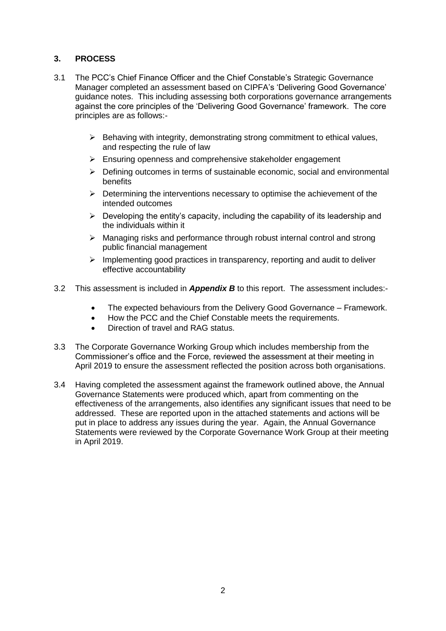#### **3. PROCESS**

- 3.1 The PCC's Chief Finance Officer and the Chief Constable's Strategic Governance Manager completed an assessment based on CIPFA's 'Delivering Good Governance' guidance notes. This including assessing both corporations governance arrangements against the core principles of the 'Delivering Good Governance' framework. The core principles are as follows:-
	- $\triangleright$  Behaving with integrity, demonstrating strong commitment to ethical values, and respecting the rule of law
	- $\triangleright$  Ensuring openness and comprehensive stakeholder engagement
	- $\triangleright$  Defining outcomes in terms of sustainable economic, social and environmental benefits
	- $\triangleright$  Determining the interventions necessary to optimise the achievement of the intended outcomes
	- $\triangleright$  Developing the entity's capacity, including the capability of its leadership and the individuals within it
	- $\triangleright$  Managing risks and performance through robust internal control and strong public financial management
	- $\triangleright$  Implementing good practices in transparency, reporting and audit to deliver effective accountability
- 3.2 This assessment is included in *Appendix B* to this report. The assessment includes:-
	- The expected behaviours from the Delivery Good Governance Framework.
	- How the PCC and the Chief Constable meets the requirements.
	- Direction of travel and RAG status.
- 3.3 The Corporate Governance Working Group which includes membership from the Commissioner's office and the Force, reviewed the assessment at their meeting in April 2019 to ensure the assessment reflected the position across both organisations.
- 3.4 Having completed the assessment against the framework outlined above, the Annual Governance Statements were produced which, apart from commenting on the effectiveness of the arrangements, also identifies any significant issues that need to be addressed. These are reported upon in the attached statements and actions will be put in place to address any issues during the year. Again, the Annual Governance Statements were reviewed by the Corporate Governance Work Group at their meeting in April 2019.